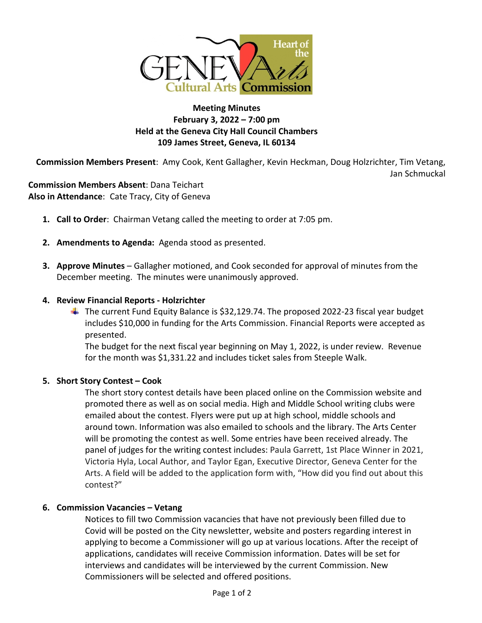

# **Meeting Minutes February 3, 2022 – 7:00 pm Held at the Geneva City Hall Council Chambers 109 James Street, Geneva, IL 60134**

**Commission Members Present**: Amy Cook, Kent Gallagher, Kevin Heckman, Doug Holzrichter, Tim Vetang, Jan Schmuckal

**Commission Members Absent**: Dana Teichart **Also in Attendance**: Cate Tracy, City of Geneva

- **1. Call to Order**: Chairman Vetang called the meeting to order at 7:05 pm.
- **2. Amendments to Agenda:** Agenda stood as presented.
- **3. Approve Minutes** Gallagher motioned, and Cook seconded for approval of minutes from the December meeting. The minutes were unanimously approved.

#### **4. Review Financial Reports - Holzrichter**

 $\ddot{\phantom{1}}$  The current Fund Equity Balance is \$32,129.74. The proposed 2022-23 fiscal year budget includes \$10,000 in funding for the Arts Commission. Financial Reports were accepted as presented.

The budget for the next fiscal year beginning on May 1, 2022, is under review. Revenue for the month was \$1,331.22 and includes ticket sales from Steeple Walk.

#### **5. Short Story Contest – Cook**

The short story contest details have been placed online on the Commission website and promoted there as well as on social media. High and Middle School writing clubs were emailed about the contest. Flyers were put up at high school, middle schools and around town. Information was also emailed to schools and the library. The Arts Center will be promoting the contest as well. Some entries have been received already. The panel of judges for the writing contest includes: Paula Garrett, 1st Place Winner in 2021, Victoria Hyla, Local Author, and Taylor Egan, Executive Director, Geneva Center for the Arts. A field will be added to the application form with, "How did you find out about this contest?"

#### **6. Commission Vacancies – Vetang**

Notices to fill two Commission vacancies that have not previously been filled due to Covid will be posted on the City newsletter, website and posters regarding interest in applying to become a Commissioner will go up at various locations. After the receipt of applications, candidates will receive Commission information. Dates will be set for interviews and candidates will be interviewed by the current Commission. New Commissioners will be selected and offered positions.